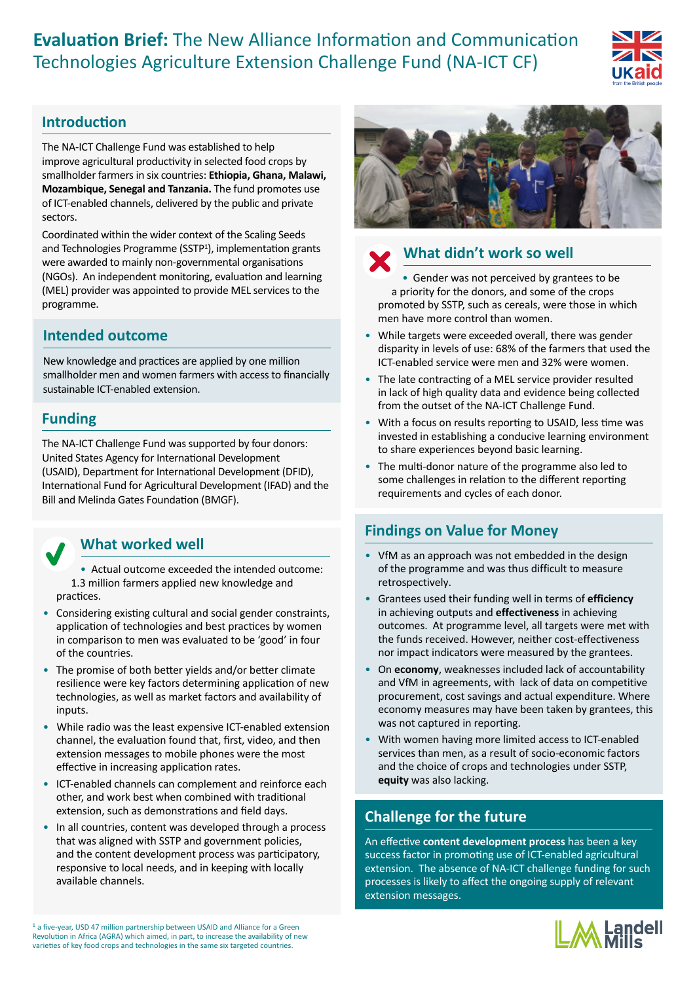**Evaluation Brief:** The New Alliance Information and Communication Technologies Agriculture Extension Challenge Fund (NA-ICT CF)



## **Introduction**

The NA-ICT Challenge Fund was established to help improve agricultural productivity in selected food crops by smallholder farmers in six countries: **Ethiopia, Ghana, Malawi, Mozambique, Senegal and Tanzania.** The fund promotes use of ICT-enabled channels, delivered by the public and private sectors.

Coordinated within the wider context of the Scaling Seeds and Technologies Programme (SSTP<sup>1</sup>), implementation grants were awarded to mainly non-governmental organisations (NGOs). An independent monitoring, evaluation and learning (MEL) provider was appointed to provide MEL services to the programme.

## **Intended outcome**

New knowledge and practices are applied by one million smallholder men and women farmers with access to financially sustainable ICT-enabled extension.

## **Funding**

The NA-ICT Challenge Fund was supported by four donors: United States Agency for International Development (USAID), Department for International Development (DFID), International Fund for Agricultural Development (IFAD) and the Bill and Melinda Gates Foundation (BMGF).

## **What worked well**

• Actual outcome exceeded the intended outcome: 1.3 million farmers applied new knowledge and practices.

- Considering existing cultural and social gender constraints, application of technologies and best practices by women in comparison to men was evaluated to be 'good' in four of the countries.
- The promise of both better yields and/or better climate resilience were key factors determining application of new technologies, as well as market factors and availability of inputs.
- While radio was the least expensive ICT-enabled extension channel, the evaluation found that, first, video, and then extension messages to mobile phones were the most effective in increasing application rates.
- ICT-enabled channels can complement and reinforce each other, and work best when combined with traditional extension, such as demonstrations and field days.
- In all countries, content was developed through a process that was aligned with SSTP and government policies, and the content development process was participatory, responsive to local needs, and in keeping with locally available channels.





## **What didn't work so well**

• Gender was not perceived by grantees to be a priority for the donors, and some of the crops promoted by SSTP, such as cereals, were those in which men have more control than women.

- While targets were exceeded overall, there was gender disparity in levels of use: 68% of the farmers that used the ICT-enabled service were men and 32% were women.
- The late contracting of a MEL service provider resulted in lack of high quality data and evidence being collected from the outset of the NA-ICT Challenge Fund.
- With a focus on results reporting to USAID, less time was invested in establishing a conducive learning environment to share experiences beyond basic learning.
- The multi-donor nature of the programme also led to some challenges in relation to the different reporting requirements and cycles of each donor.

## **Findings on Value for Money**

- VfM as an approach was not embedded in the design of the programme and was thus difficult to measure retrospectively.
- Grantees used their funding well in terms of **efficiency** in achieving outputs and **effectiveness** in achieving outcomes. At programme level, all targets were met with the funds received. However, neither cost-effectiveness nor impact indicators were measured by the grantees.
- On **economy**, weaknesses included lack of accountability and VfM in agreements, with lack of data on competitive procurement, cost savings and actual expenditure. Where economy measures may have been taken by grantees, this was not captured in reporting.
- With women having more limited access to ICT-enabled services than men, as a result of socio-economic factors and the choice of crops and technologies under SSTP, **equity** was also lacking.

# **Challenge for the future**

An effective **content development process** has been a key success factor in promoting use of ICT-enabled agricultural extension. The absence of NA-ICT challenge funding for such processes is likely to affect the ongoing supply of relevant extension messages.



<sup>1</sup> a five-year, USD 47 million partnership between USAID and Alliance for a Green Revolution in Africa (AGRA) which aimed, in part, to increase the availability of new varieties of key food crops and technologies in the same six targeted countries.